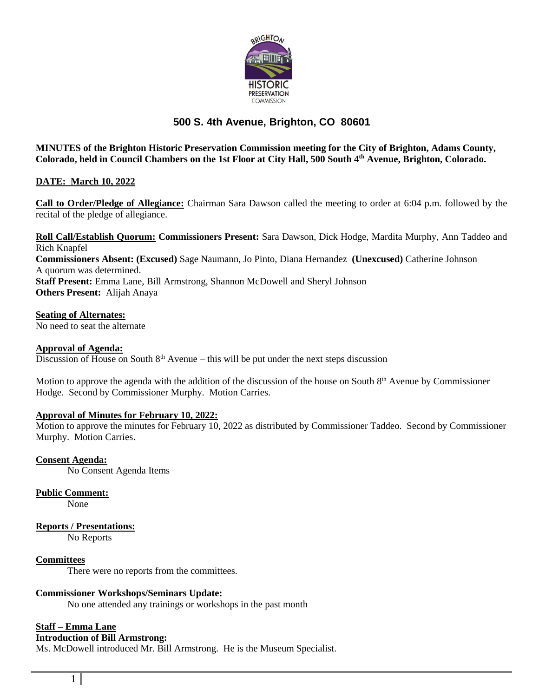

# **500 S. 4th Avenue, Brighton, CO 80601**

**MINUTES of the Brighton Historic Preservation Commission meeting for the City of Brighton, Adams County, Colorado, held in Council Chambers on the 1st Floor at City Hall, 500 South 4th Avenue, Brighton, Colorado.**

## **DATE: March 10, 2022**

**Call to Order/Pledge of Allegiance:** Chairman Sara Dawson called the meeting to order at 6:04 p.m. followed by the recital of the pledge of allegiance.

**Roll Call/Establish Quorum: Commissioners Present:** Sara Dawson, Dick Hodge, Mardita Murphy, Ann Taddeo and Rich Knapfel **Commissioners Absent: (Excused)** Sage Naumann, Jo Pinto, Diana Hernandez **(Unexcused)** Catherine Johnson A quorum was determined. **Staff Present:** Emma Lane, Bill Armstrong, Shannon McDowell and Sheryl Johnson **Others Present:** Alijah Anaya

**Seating of Alternates:**

No need to seat the alternate

**Approval of Agenda:**

Discussion of House on South  $8<sup>th</sup>$  Avenue – this will be put under the next steps discussion

Motion to approve the agenda with the addition of the discussion of the house on South  $8<sup>th</sup>$  Avenue by Commissioner Hodge. Second by Commissioner Murphy. Motion Carries.

#### **Approval of Minutes for February 10, 2022:**

Motion to approve the minutes for February 10, 2022 as distributed by Commissioner Taddeo. Second by Commissioner Murphy. Motion Carries.

**Consent Agenda:** No Consent Agenda Items

**Public Comment:**

None

**Reports / Presentations:**

No Reports

**Committees**

There were no reports from the committees.

## **Commissioner Workshops/Seminars Update:**

No one attended any trainings or workshops in the past month

#### **Staff – Emma Lane**

# **Introduction of Bill Armstrong:**

Ms. McDowell introduced Mr. Bill Armstrong. He is the Museum Specialist.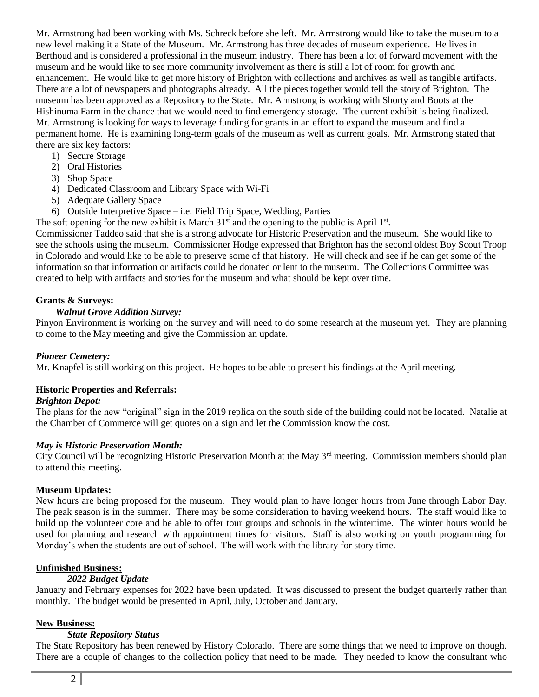Mr. Armstrong had been working with Ms. Schreck before she left. Mr. Armstrong would like to take the museum to a new level making it a State of the Museum. Mr. Armstrong has three decades of museum experience. He lives in Berthoud and is considered a professional in the museum industry. There has been a lot of forward movement with the museum and he would like to see more community involvement as there is still a lot of room for growth and enhancement. He would like to get more history of Brighton with collections and archives as well as tangible artifacts. There are a lot of newspapers and photographs already. All the pieces together would tell the story of Brighton. The museum has been approved as a Repository to the State. Mr. Armstrong is working with Shorty and Boots at the Hishinuma Farm in the chance that we would need to find emergency storage. The current exhibit is being finalized. Mr. Armstrong is looking for ways to leverage funding for grants in an effort to expand the museum and find a permanent home. He is examining long-term goals of the museum as well as current goals. Mr. Armstrong stated that there are six key factors:

- 1) Secure Storage
- 2) Oral Histories
- 3) Shop Space
- 4) Dedicated Classroom and Library Space with Wi-Fi
- 5) Adequate Gallery Space
- 6) Outside Interpretive Space i.e. Field Trip Space, Wedding, Parties

The soft opening for the new exhibit is March  $31<sup>st</sup>$  and the opening to the public is April  $1<sup>st</sup>$ .

Commissioner Taddeo said that she is a strong advocate for Historic Preservation and the museum. She would like to see the schools using the museum. Commissioner Hodge expressed that Brighton has the second oldest Boy Scout Troop in Colorado and would like to be able to preserve some of that history. He will check and see if he can get some of the information so that information or artifacts could be donated or lent to the museum. The Collections Committee was created to help with artifacts and stories for the museum and what should be kept over time.

## **Grants & Surveys:**

#### *Walnut Grove Addition Survey:*

Pinyon Environment is working on the survey and will need to do some research at the museum yet. They are planning to come to the May meeting and give the Commission an update.

#### *Pioneer Cemetery:*

Mr. Knapfel is still working on this project. He hopes to be able to present his findings at the April meeting.

## **Historic Properties and Referrals:**

#### *Brighton Depot:*

The plans for the new "original" sign in the 2019 replica on the south side of the building could not be located. Natalie at the Chamber of Commerce will get quotes on a sign and let the Commission know the cost.

#### *May is Historic Preservation Month:*

City Council will be recognizing Historic Preservation Month at the May 3<sup>rd</sup> meeting. Commission members should plan to attend this meeting.

#### **Museum Updates:**

New hours are being proposed for the museum. They would plan to have longer hours from June through Labor Day. The peak season is in the summer. There may be some consideration to having weekend hours. The staff would like to build up the volunteer core and be able to offer tour groups and schools in the wintertime. The winter hours would be used for planning and research with appointment times for visitors. Staff is also working on youth programming for Monday's when the students are out of school. The will work with the library for story time.

#### **Unfinished Business:**

#### *2022 Budget Update*

January and February expenses for 2022 have been updated. It was discussed to present the budget quarterly rather than monthly. The budget would be presented in April, July, October and January.

## **New Business:**

#### *State Repository Status*

The State Repository has been renewed by History Colorado. There are some things that we need to improve on though. There are a couple of changes to the collection policy that need to be made. They needed to know the consultant who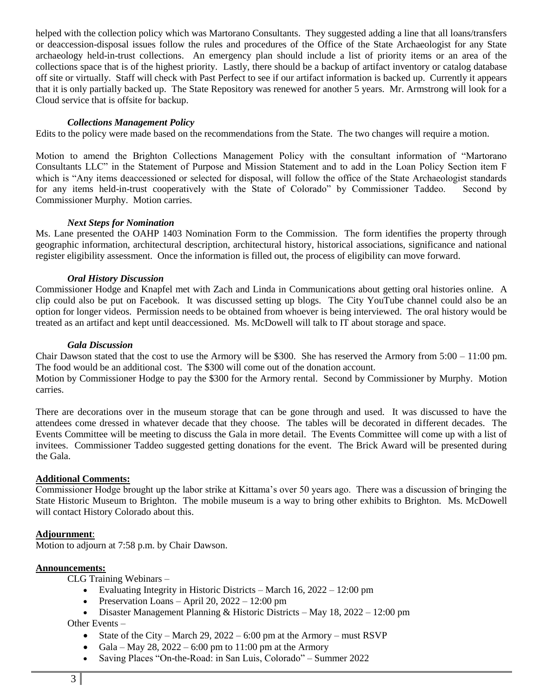helped with the collection policy which was Martorano Consultants. They suggested adding a line that all loans/transfers or deaccession-disposal issues follow the rules and procedures of the Office of the State Archaeologist for any State archaeology held-in-trust collections. An emergency plan should include a list of priority items or an area of the collections space that is of the highest priority. Lastly, there should be a backup of artifact inventory or catalog database off site or virtually. Staff will check with Past Perfect to see if our artifact information is backed up. Currently it appears that it is only partially backed up. The State Repository was renewed for another 5 years. Mr. Armstrong will look for a Cloud service that is offsite for backup.

### *Collections Management Policy*

Edits to the policy were made based on the recommendations from the State. The two changes will require a motion.

Motion to amend the Brighton Collections Management Policy with the consultant information of "Martorano Consultants LLC" in the Statement of Purpose and Mission Statement and to add in the Loan Policy Section item F which is "Any items deaccessioned or selected for disposal, will follow the office of the State Archaeologist standards for any items held-in-trust cooperatively with the State of Colorado" by Commissioner Taddeo. Second by Commissioner Murphy. Motion carries.

#### *Next Steps for Nomination*

Ms. Lane presented the OAHP 1403 Nomination Form to the Commission. The form identifies the property through geographic information, architectural description, architectural history, historical associations, significance and national register eligibility assessment. Once the information is filled out, the process of eligibility can move forward.

#### *Oral History Discussion*

Commissioner Hodge and Knapfel met with Zach and Linda in Communications about getting oral histories online. A clip could also be put on Facebook. It was discussed setting up blogs. The City YouTube channel could also be an option for longer videos. Permission needs to be obtained from whoever is being interviewed. The oral history would be treated as an artifact and kept until deaccessioned. Ms. McDowell will talk to IT about storage and space.

#### *Gala Discussion*

Chair Dawson stated that the cost to use the Armory will be \$300. She has reserved the Armory from  $5:00 - 11:00$  pm. The food would be an additional cost. The \$300 will come out of the donation account.

Motion by Commissioner Hodge to pay the \$300 for the Armory rental. Second by Commissioner by Murphy. Motion carries.

There are decorations over in the museum storage that can be gone through and used. It was discussed to have the attendees come dressed in whatever decade that they choose. The tables will be decorated in different decades. The Events Committee will be meeting to discuss the Gala in more detail. The Events Committee will come up with a list of invitees. Commissioner Taddeo suggested getting donations for the event. The Brick Award will be presented during the Gala.

## **Additional Comments:**

Commissioner Hodge brought up the labor strike at Kittama's over 50 years ago. There was a discussion of bringing the State Historic Museum to Brighton. The mobile museum is a way to bring other exhibits to Brighton. Ms. McDowell will contact History Colorado about this.

### **Adjournment**:

Motion to adjourn at 7:58 p.m. by Chair Dawson.

#### **Announcements:**

CLG Training Webinars –

- Evaluating Integrity in Historic Districts March  $16$ ,  $2022 12:00$  pm
- Preservation Loans April 20,  $2022 12:00$  pm
- Disaster Management Planning & Historic Districts May 18, 2022 12:00 pm

Other Events –

- State of the City March 29,  $2022 6:00$  pm at the Armory must RSVP
- Gala May 28, 2022 6:00 pm to 11:00 pm at the Armory
- Saving Places "On-the-Road: in San Luis, Colorado" Summer 2022